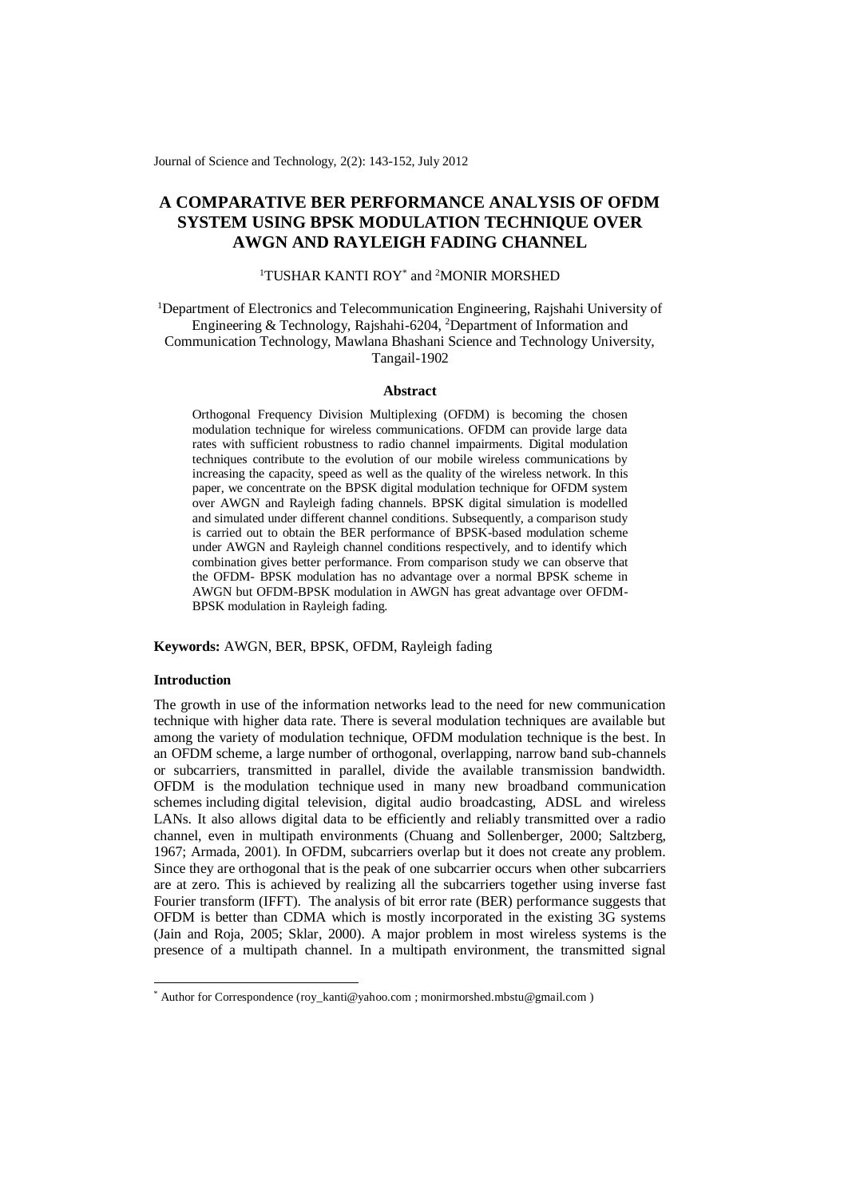Journal of Science and Technology, 2(2): 143-152, July 2012

# **A COMPARATIVE BER PERFORMANCE ANALYSIS OF OFDM SYSTEM USING BPSK MODULATION TECHNIQUE OVER AWGN AND RAYLEIGH FADING CHANNEL**

## <sup>1</sup>TUSHAR KANTI ROY<sup>\*</sup> and <sup>2</sup>MONIR MORSHED

<sup>1</sup>Department of Electronics and Telecommunication Engineering, Rajshahi University of Engineering & Technology, Rajshahi-6204, <sup>2</sup>Department of Information and Communication Technology, Mawlana Bhashani Science and Technology University, Tangail-1902

## **Abstract**

Orthogonal Frequency Division Multiplexing (OFDM) is becoming the chosen modulation technique for wireless communications. OFDM can provide large data rates with sufficient robustness to radio channel impairments. Digital modulation techniques contribute to the evolution of our mobile wireless communications by increasing the capacity, speed as well as the quality of the wireless network. In this paper, we concentrate on the BPSK digital modulation technique for OFDM system over AWGN and Rayleigh fading channels. BPSK digital simulation is modelled and simulated under different channel conditions. Subsequently, a comparison study is carried out to obtain the BER performance of BPSK-based modulation scheme under AWGN and Rayleigh channel conditions respectively, and to identify which combination gives better performance. From comparison study we can observe that the OFDM- BPSK modulation has no advantage over a normal BPSK scheme in AWGN but OFDM-BPSK modulation in AWGN has great advantage over OFDM-BPSK modulation in Rayleigh fading.

## **Keywords:** AWGN, BER, BPSK, OFDM, Rayleigh fading

## **Introduction**

-

The growth in use of the information networks lead to the need for new communication technique with higher data rate. There is several modulation techniques are available but among the variety of modulation technique, OFDM modulation technique is the best. In an OFDM scheme, a large number of orthogonal, overlapping, narrow band sub-channels or subcarriers, transmitted in parallel, divide the available transmission bandwidth. OFDM is the modulation technique used in many new broadband communication schemes including digital television, digital audio broadcasting, ADSL and wireless LANs. It also allows digital data to be efficiently and reliably transmitted over a radio channel, even in multipath environments (Chuang and Sollenberger, 2000; Saltzberg, 1967; Armada, 2001). In OFDM, subcarriers overlap but it does not create any problem. Since they are orthogonal that is the peak of one subcarrier occurs when other subcarriers are at zero. This is achieved by realizing all the subcarriers together using inverse fast Fourier transform (IFFT). The analysis of bit error rate (BER) performance suggests that OFDM is better than CDMA which is mostly incorporated in the existing 3G systems (Jain and Roja, 2005; Sklar, 2000). A major problem in most wireless systems is the presence of a multipath channel. In a multipath environment, the transmitted signal

<sup>\*</sup> Author for Correspondence [\(roy\\_kanti@yahoo.com](mailto:roy_kanti@yahoo.com) ; [monirmorshed.mbstu@gmail.com](mailto:monirmorshed.mbstu@gmail.com) )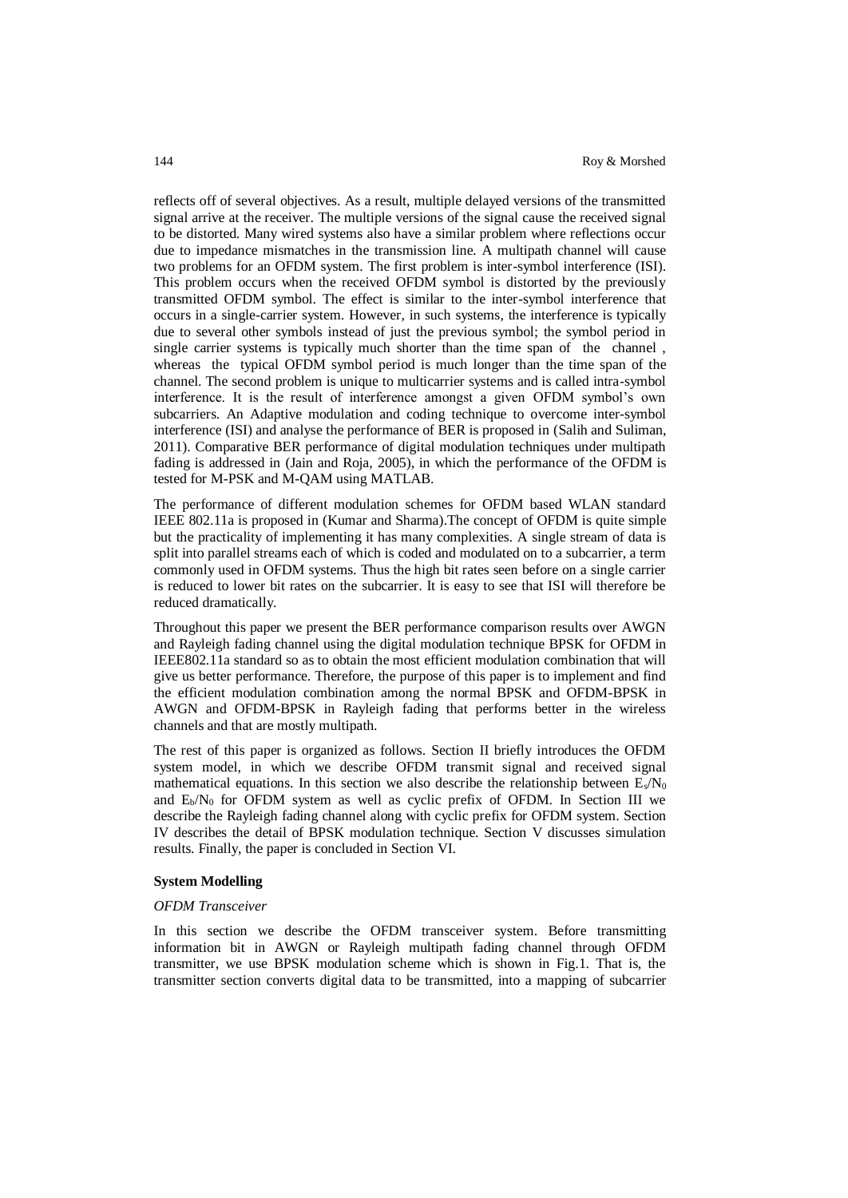reflects off of several objectives. As a result, multiple delayed versions of the transmitted signal arrive at the receiver. The multiple versions of the signal cause the received signal to be distorted. Many wired systems also have a similar problem where reflections occur due to impedance mismatches in the transmission line. A multipath channel will cause two problems for an OFDM system. The first problem is inter-symbol interference (ISI). This problem occurs when the received OFDM symbol is distorted by the previously transmitted OFDM symbol. The effect is similar to the inter-symbol interference that occurs in a single-carrier system. However, in such systems, the interference is typically due to several other symbols instead of just the previous symbol; the symbol period in single carrier systems is typically much shorter than the time span of the channel , whereas the typical OFDM symbol period is much longer than the time span of the channel. The second problem is unique to multicarrier systems and is called intra-symbol interference. It is the result of interference amongst a given OFDM symbol's own subcarriers. An Adaptive modulation and coding technique to overcome inter-symbol interference (ISI) and analyse the performance of BER is proposed in (Salih and Suliman, 2011). Comparative BER performance of digital modulation techniques under multipath fading is addressed in (Jain and Roja, 2005), in which the performance of the OFDM is tested for M-PSK and M-QAM using MATLAB.

The performance of different modulation schemes for OFDM based WLAN standard IEEE 802.11a is proposed in (Kumar and Sharma).The concept of OFDM is quite simple but the practicality of implementing it has many complexities. A single stream of data is split into parallel streams each of which is coded and modulated on to a subcarrier, a term commonly used in OFDM systems. Thus the high bit rates seen before on a single carrier is reduced to lower bit rates on the subcarrier. It is easy to see that ISI will therefore be reduced dramatically.

Throughout this paper we present the BER performance comparison results over AWGN and Rayleigh fading channel using the digital modulation technique BPSK for OFDM in IEEE802.11a standard so as to obtain the most efficient modulation combination that will give us better performance. Therefore, the purpose of this paper is to implement and find the efficient modulation combination among the normal BPSK and OFDM-BPSK in AWGN and OFDM-BPSK in Rayleigh fading that performs better in the wireless channels and that are mostly multipath.

The rest of this paper is organized as follows. Section II briefly introduces the OFDM system model, in which we describe OFDM transmit signal and received signal mathematical equations. In this section we also describe the relationship between  $E_s/N_0$ and  $E_b/N_0$  for OFDM system as well as cyclic prefix of OFDM. In Section III we describe the Rayleigh fading channel along with cyclic prefix for OFDM system. Section IV describes the detail of BPSK modulation technique. Section V discusses simulation results. Finally, the paper is concluded in Section VI.

#### **System Modelling**

#### *OFDM Transceiver*

In this section we describe the OFDM transceiver system. Before transmitting information bit in AWGN or Rayleigh multipath fading channel through OFDM transmitter, we use BPSK modulation scheme which is shown in Fig.1. That is, the transmitter section converts digital data to be transmitted, into a mapping of subcarrier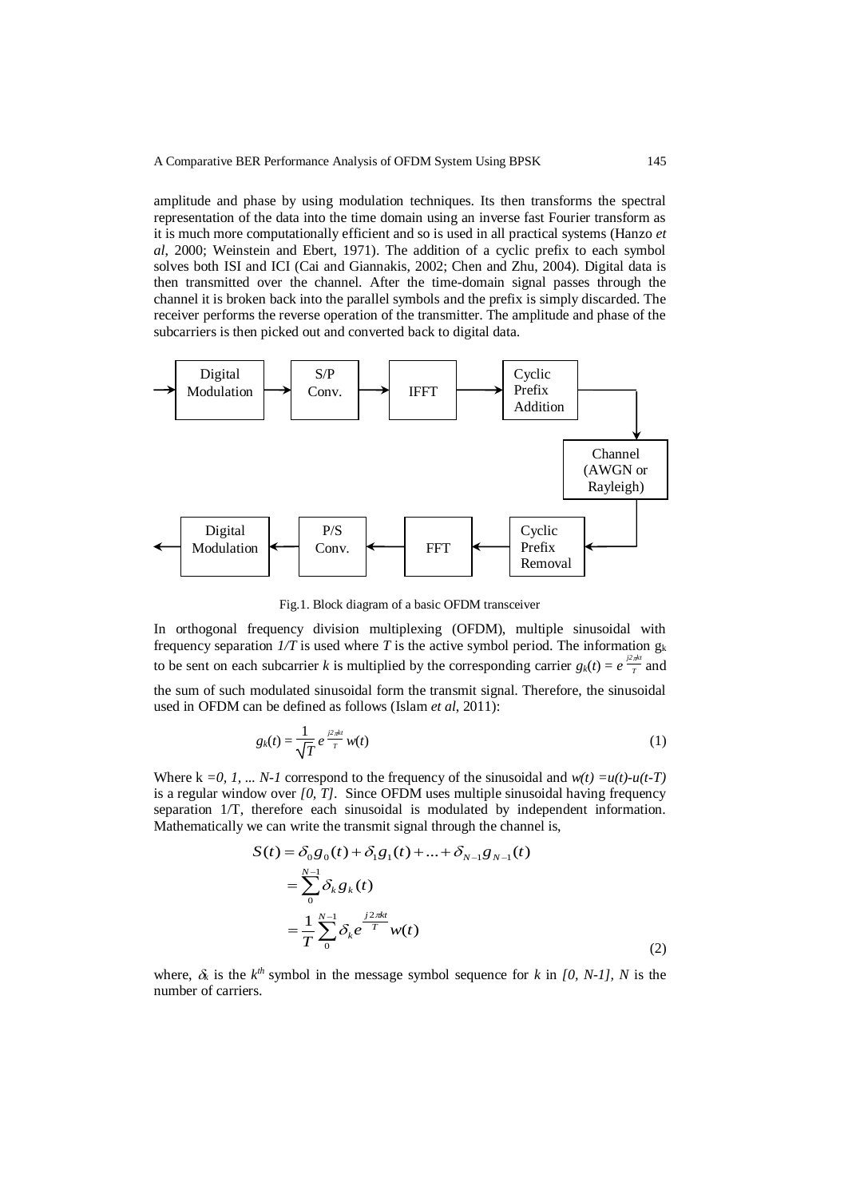amplitude and phase by using modulation techniques. Its then transforms the spectral representation of the data into the time domain using an inverse fast Fourier transform as it is much more computationally efficient and so is used in all practical systems (Hanzo *et al*, 2000; Weinstein and Ebert, 1971). The addition of a cyclic prefix to each symbol solves both ISI and ICI (Cai and Giannakis, 2002; Chen and Zhu, 2004). Digital data is then transmitted over the channel. After the time-domain signal passes through the channel it is broken back into the parallel symbols and the prefix is simply discarded. The receiver performs the reverse operation of the transmitter. The amplitude and phase of the subcarriers is then picked out and converted back to digital data.



Fig.1. Block diagram of a basic OFDM transceiver

In orthogonal frequency division multiplexing (OFDM), multiple sinusoidal with frequency separation  $1/T$  is used where T is the active symbol period. The information  $g_k$ to be sent on each subcarrier *k* is multiplied by the corresponding carrier  $g_k(t) = e^{\frac{j2\pi k}{T}}$  $\frac{7\pi}{T}$  and

the sum of such modulated sinusoidal form the transmit signal. Therefore, the sinusoidal used in OFDM can be defined as follows (Islam *et al*, 2011):

$$
g_k(t) = \frac{1}{\sqrt{T}} e^{\frac{j2\pi kt}{T}} w(t) \tag{1}
$$

Where k =0, 1, ... *N*-1 correspond to the frequency of the sinusoidal and  $w(t) = u(t) - u(t-T)$ is a regular window over *[0, T]*. Since OFDM uses multiple sinusoidal having frequency separation 1/T, therefore each sinusoidal is modulated by independent information. Mathematically we can write the transmit signal through the channel is,

$$
S(t) = \delta_0 g_0(t) + \delta_1 g_1(t) + ... + \delta_{N-1} g_{N-1}(t)
$$
  
= 
$$
\sum_{0}^{N-1} \delta_k g_k(t)
$$
  
= 
$$
\frac{1}{T} \sum_{0}^{N-1} \delta_k e^{\frac{j2\pi kt}{T}} w(t)
$$
 (2)

where,  $\delta_k$  is the  $k^{th}$  symbol in the message symbol sequence for *k* in [0, N-1], N is the number of carriers.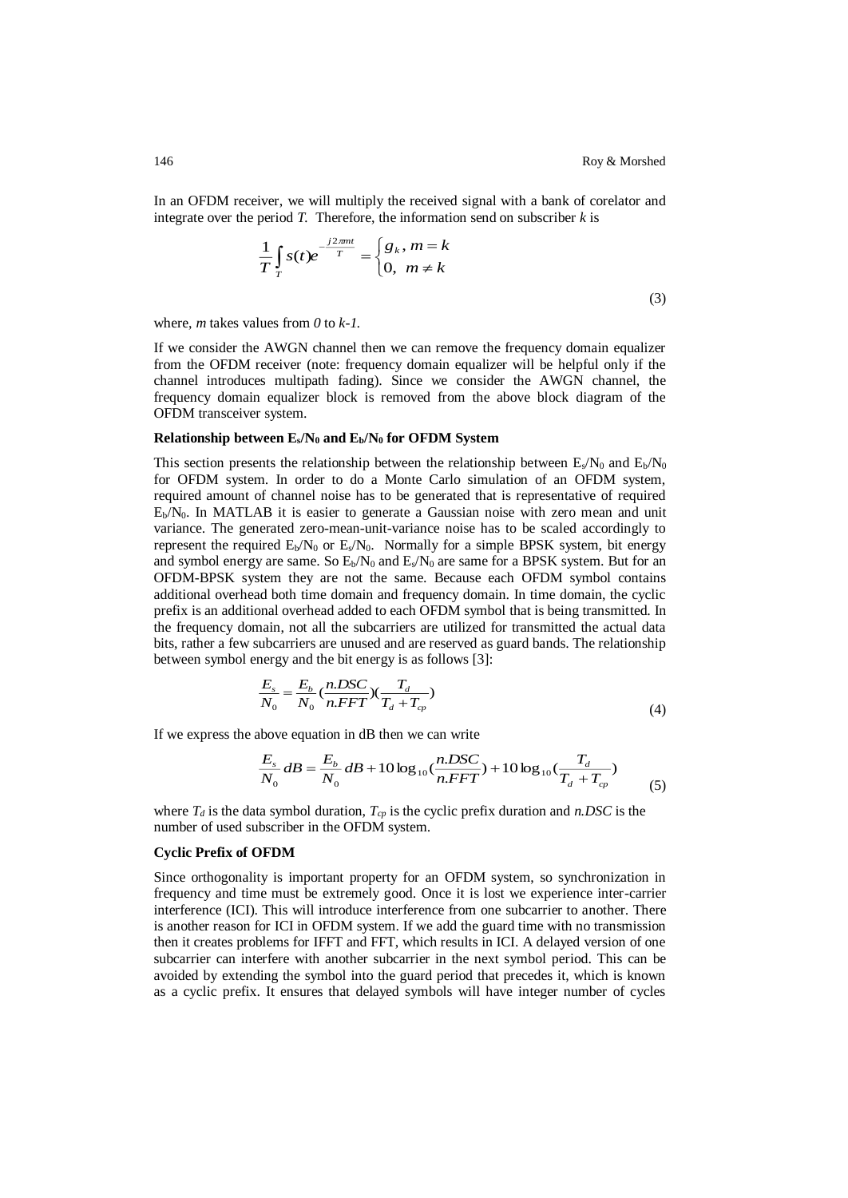(3)

In an OFDM receiver, we will multiply the received signal with a bank of corelator and integrate over the period  $T$ . Therefore, the information send on subscriber  $k$  is

$$
\frac{1}{T}\int_{T}^{T} s(t)e^{-\frac{j2\pi mt}{T}} = \begin{cases} g_k, m = k \\ 0, m \neq k \end{cases}
$$

where, *m* takes values from *0* to *k-1.* 

If we consider the AWGN channel then we can remove the frequency domain equalizer from the OFDM receiver (note: frequency domain equalizer will be helpful only if the channel introduces multipath fading). Since we consider the AWGN channel, the frequency domain equalizer block is removed from the above block diagram of the OFDM transceiver system.

#### **Relationship between Es/N<sup>0</sup> and Eb/N<sup>0</sup> for OFDM System**

This section presents the relationship between the relationship between  $E_s/N_0$  and  $E_b/N_0$ for OFDM system. In order to do a Monte Carlo simulation of an OFDM system, required amount of channel noise has to be generated that is representative of required Eb/N0. In MATLAB it is easier to generate a Gaussian noise with zero mean and unit variance. The generated zero-mean-unit-variance noise has to be scaled accordingly to represent the required  $E_b/N_0$  or  $E_s/N_0$ . Normally for a simple BPSK system, bit energy and symbol energy are same. So  $E_b/N_0$  and  $E_s/N_0$  are same for a BPSK system. But for an OFDM-BPSK system they are not the same. Because each OFDM symbol contains additional overhead both time domain and frequency domain. In time domain, the cyclic prefix is an additional overhead added to each OFDM symbol that is being transmitted. In the frequency domain, not all the subcarriers are utilized for transmitted the actual data bits, rather a few subcarriers are unused and are reserved as guard bands. The relationship between symbol energy and the bit energy is as follows [3]:

$$
\frac{E_s}{N_0} = \frac{E_b}{N_0} \left(\frac{n. DSC}{n.FFT}\right) \left(\frac{T_d}{T_d + T_{cp}}\right) \tag{4}
$$

If we express the above equation in dB then we can write

$$
\frac{E_s}{N_0}dB = \frac{E_b}{N_0}dB + 10\log_{10}(\frac{n.DSC}{n.FFT}) + 10\log_{10}(\frac{T_d}{T_d + T_{cp}})
$$
\n(5)

where  $T_d$  is the data symbol duration,  $T_{cp}$  is the cyclic prefix duration and *n.DSC* is the number of used subscriber in the OFDM system.

#### **Cyclic Prefix of OFDM**

Since orthogonality is important property for an OFDM system, so synchronization in frequency and time must be extremely good. Once it is lost we experience inter-carrier interference (ICI). This will introduce interference from one subcarrier to another. There is another reason for ICI in OFDM system. If we add the guard time with no transmission then it creates problems for IFFT and FFT, which results in ICI. A delayed version of one subcarrier can interfere with another subcarrier in the next symbol period. This can be avoided by extending the symbol into the guard period that precedes it, which is known as a cyclic prefix. It ensures that delayed symbols will have integer number of cycles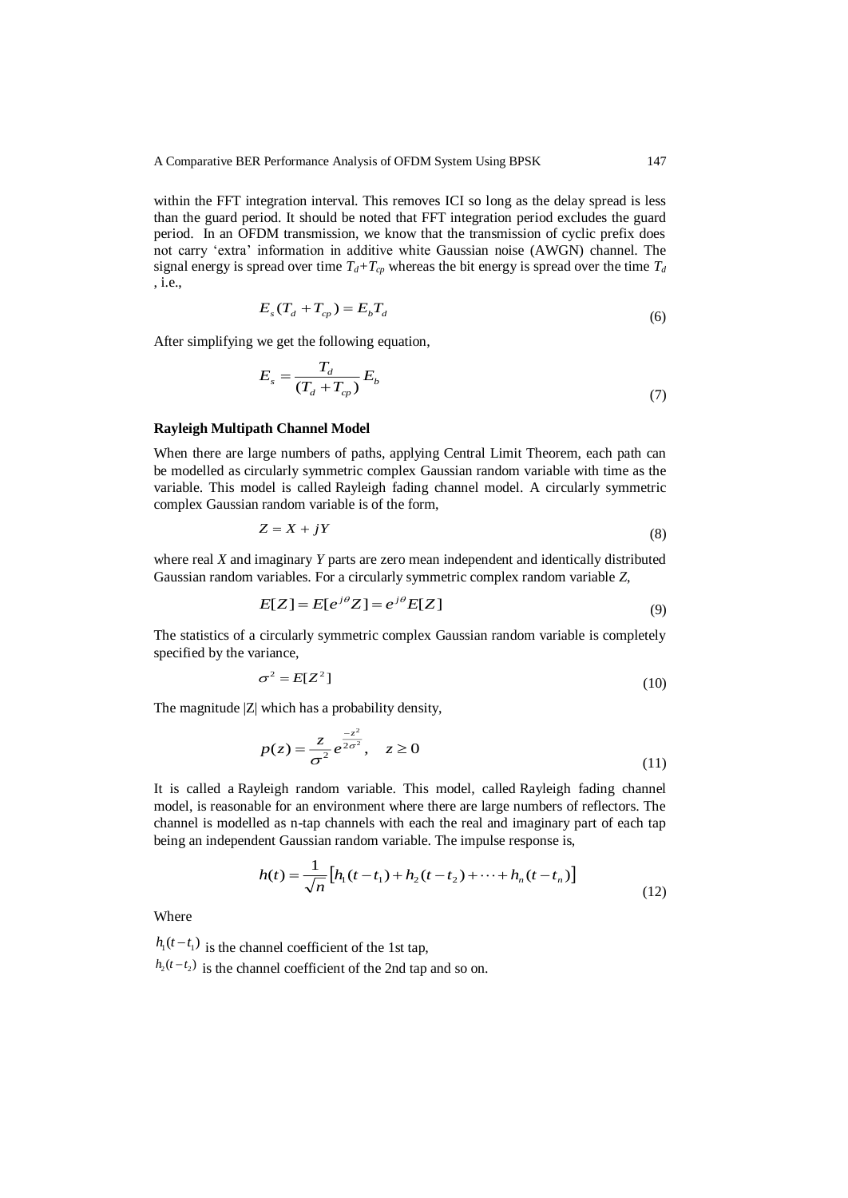within the FFT integration interval. This removes ICI so long as the delay spread is less than the guard period. It should be noted that FFT integration period excludes the guard period. In an OFDM transmission, we know that the transmission of cyclic prefix does not carry 'extra' information in additive white Gaussian noise (AWGN) channel. The signal energy is spread over time  $T_d + T_c$  whereas the bit energy is spread over the time  $T_d$ , i.e.,

$$
E_s(T_d + T_{cp}) = E_b T_d \tag{6}
$$

After simplifying we get the following equation,

$$
E_s = \frac{T_d}{(T_d + T_{cp})} E_b \tag{7}
$$

## **Rayleigh Multipath Channel Model**

When there are large numbers of paths, applying [Central Limit Theorem,](http://en.wikipedia.org/wiki/Central_limit_theorem) each path can be modelled as circularly symmetric complex Gaussian random variable with time as the variable. This model is called Rayleigh fading channel model. A circularly symmetric complex Gaussian random variable is of the form,

$$
Z = X + jY \tag{8}
$$

where real *X* and imaginary *Y* parts are zero mean independent and identically distributed Gaussian random variables. For a circularly symmetric complex random variable *Z*,

$$
E[Z] = E[e^{j\theta}Z] = e^{j\theta}E[Z]
$$
\n(9)

The statistics of a circularly symmetric complex Gaussian random variable is completely specified by the variance,

$$
\sigma^2 = E[Z^2] \tag{10}
$$

The magnitude |Z| which has a probability density,

$$
p(z) = \frac{z}{\sigma^2} e^{\frac{-z^2}{2\sigma^2}}, \quad z \ge 0
$$
\n(11)

It is called a Rayleigh random variable. This model, called Rayleigh fading channel model, is reasonable for an environment where there are large numbers of reflectors. The channel is modelled as n-tap channels with each the real and imaginary part of each tap being an independent Gaussian random variable. The impulse response is,

$$
h(t) = \frac{1}{\sqrt{n}} \left[ h_1(t - t_1) + h_2(t - t_2) + \dots + h_n(t - t_n) \right]
$$
\n(12)

Where

 $h_1(t-t_1)$  is the channel coefficient of the 1st tap,  $h_2(t-t_2)$  is the channel coefficient of the 2nd tap and so on.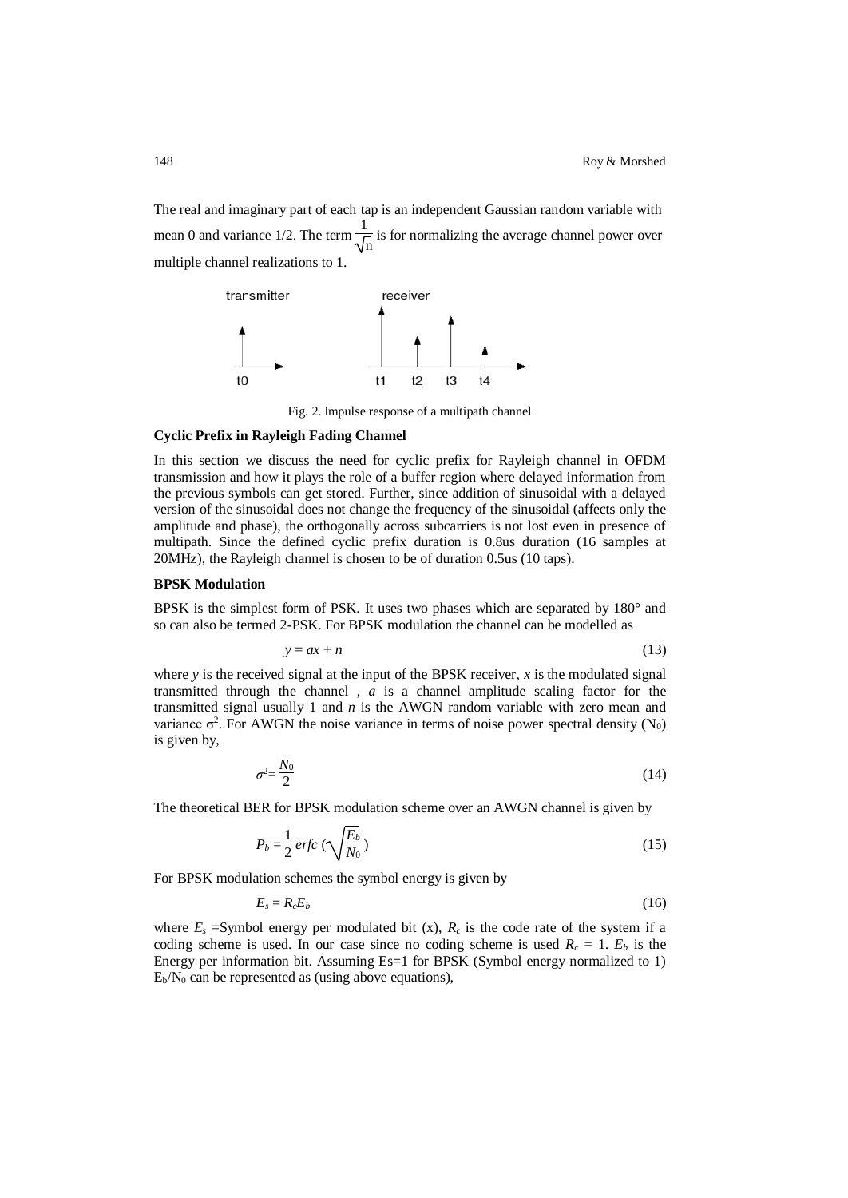The real and imaginary part of each tap is an independent Gaussian random variable with mean 0 and variance 1/2. The term  $\frac{1}{6}$  $\frac{1}{n}$  is for normalizing the average channel power over multiple channel realizations to 1.



Fig. 2. Impulse response of a multipath channel

#### **Cyclic Prefix in Rayleigh Fading Channel**

In this section we discuss the need for cyclic prefix for Rayleigh channel in OFDM transmission and how it plays the role of a buffer region where delayed information from the previous symbols can get stored. Further, since addition of sinusoidal with a delayed version of the sinusoidal does not change the frequency of the sinusoidal (affects only the amplitude and phase), the orthogonally across subcarriers is not lost even in presence of multipath. Since the defined cyclic prefix duration is 0.8us duration (16 samples at 20MHz), the Rayleigh channel is chosen to be of duration 0.5us (10 taps).

## **BPSK Modulation**

BPSK is the simplest form of PSK. It uses two phases which are separated by 180° and so can also be termed 2-PSK. For BPSK modulation the channel can be modelled as

$$
y = ax + n \tag{13}
$$

where  $y$  is the received signal at the input of the BPSK receiver,  $x$  is the modulated signal transmitted through the channel , *a* is a channel amplitude scaling factor for the transmitted signal usually 1 and *n* is the AWGN random variable with zero mean and variance  $\sigma^2$ . For AWGN the noise variance in terms of noise power spectral density (N<sub>0</sub>) is given by,

$$
\sigma^2 = \frac{N_0}{2} \tag{14}
$$

The theoretical BER for BPSK modulation scheme over an AWGN channel is given by

$$
P_b = \frac{1}{2} \operatorname{erfc} \left( \sqrt{\frac{E_b}{N_0}} \right) \tag{15}
$$

For BPSK modulation schemes the symbol energy is given by

$$
E_s = R_c E_b \tag{16}
$$

where  $E_s$  =Symbol energy per modulated bit (x),  $R_c$  is the code rate of the system if a coding scheme is used. In our case since no coding scheme is used  $R_c = 1$ .  $E_b$  is the Energy per information bit. Assuming Es=1 for BPSK (Symbol energy normalized to 1)  $E_b/N_0$  can be represented as (using above equations),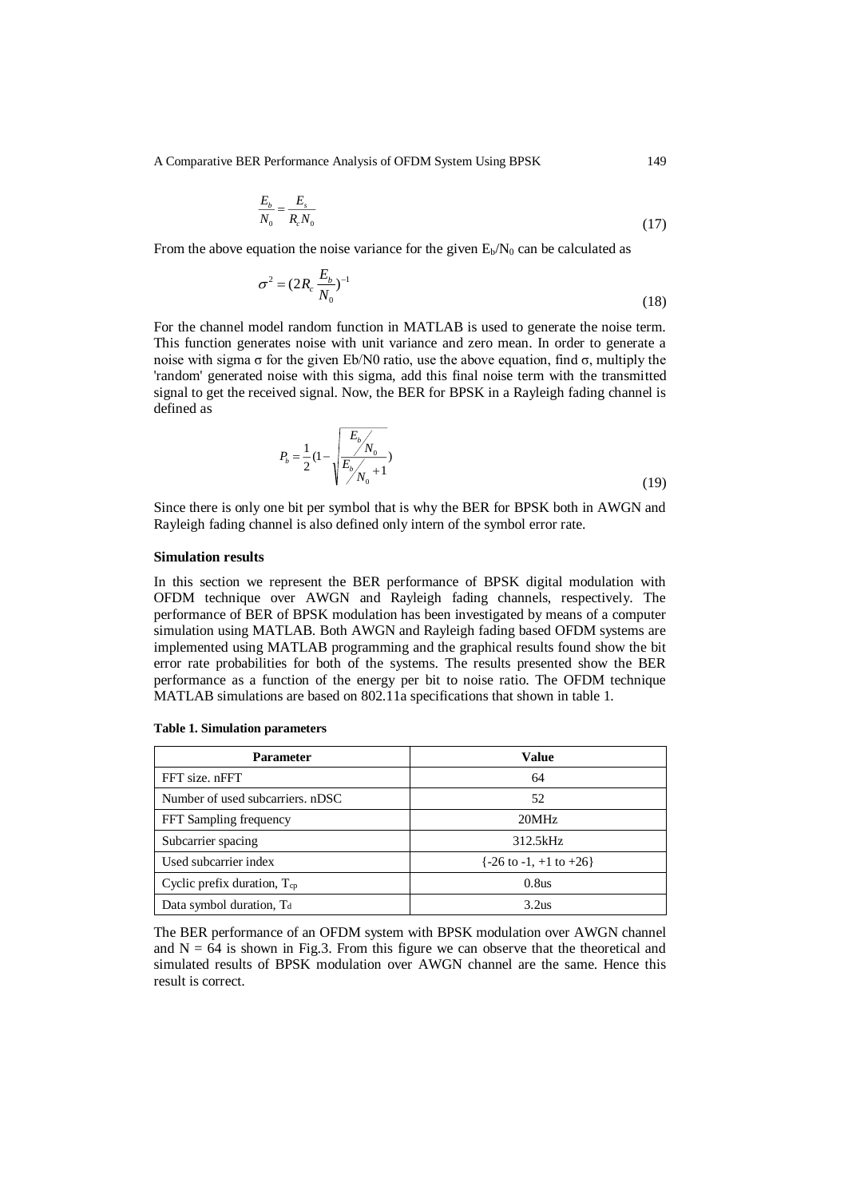A Comparative BER Performance Analysis of OFDM System Using BPSK 149

$$
\frac{E_b}{N_0} = \frac{E_s}{R_c N_0} \tag{17}
$$

From the above equation the noise variance for the given  $E_b/N_0$  can be calculated as

$$
\sigma^2 = (2R_c \frac{E_b}{N_0})^{-1}
$$
 (18)

For the channel model random function in MATLAB is used to generate the noise term. This function generates noise with unit variance and zero mean. In order to generate a noise with sigma σ for the given Eb/N0 ratio, use the above equation, find σ, multiply the 'random' generated noise with this sigma, add this final noise term with the transmitted signal to get the received signal. Now, the BER for BPSK in a Rayleigh fading channel is defined as

$$
P_b = \frac{1}{2} \left(1 - \sqrt{\frac{E_b}{E_b / N_0} \right)}
$$
\n(19)

Since there is only one bit per symbol that is why the BER for BPSK both in AWGN and Rayleigh fading channel is also defined only intern of the symbol error rate.

## **Simulation results**

In this section we represent the BER performance of BPSK digital modulation with OFDM technique over AWGN and Rayleigh fading channels, respectively. The performance of BER of BPSK modulation has been investigated by means of a computer simulation using MATLAB. Both AWGN and Rayleigh fading based OFDM systems are implemented using MATLAB programming and the graphical results found show the bit error rate probabilities for both of the systems. The results presented show the BER performance as a function of the energy per bit to noise ratio. The OFDM technique MATLAB simulations are based on 802.11a specifications that shown in table 1.

| <b>Parameter</b>                     | Value                                        |
|--------------------------------------|----------------------------------------------|
| FFT size. nFFT                       | 64                                           |
| Number of used subcarriers. nDSC     | 52                                           |
| FFT Sampling frequency               | 20MHz                                        |
| Subcarrier spacing                   | 312.5kHz                                     |
| Used subcarrier index                | $\{-26 \text{ to } -1, +1 \text{ to } +26\}$ |
| Cyclic prefix duration, $T_{cp}$     | 0.8us                                        |
| Data symbol duration, T <sub>d</sub> | 3.2us                                        |

**Table 1. Simulation parameters**

The BER performance of an OFDM system with BPSK modulation over AWGN channel and  $N = 64$  is shown in Fig.3. From this figure we can observe that the theoretical and simulated results of BPSK modulation over AWGN channel are the same. Hence this result is correct.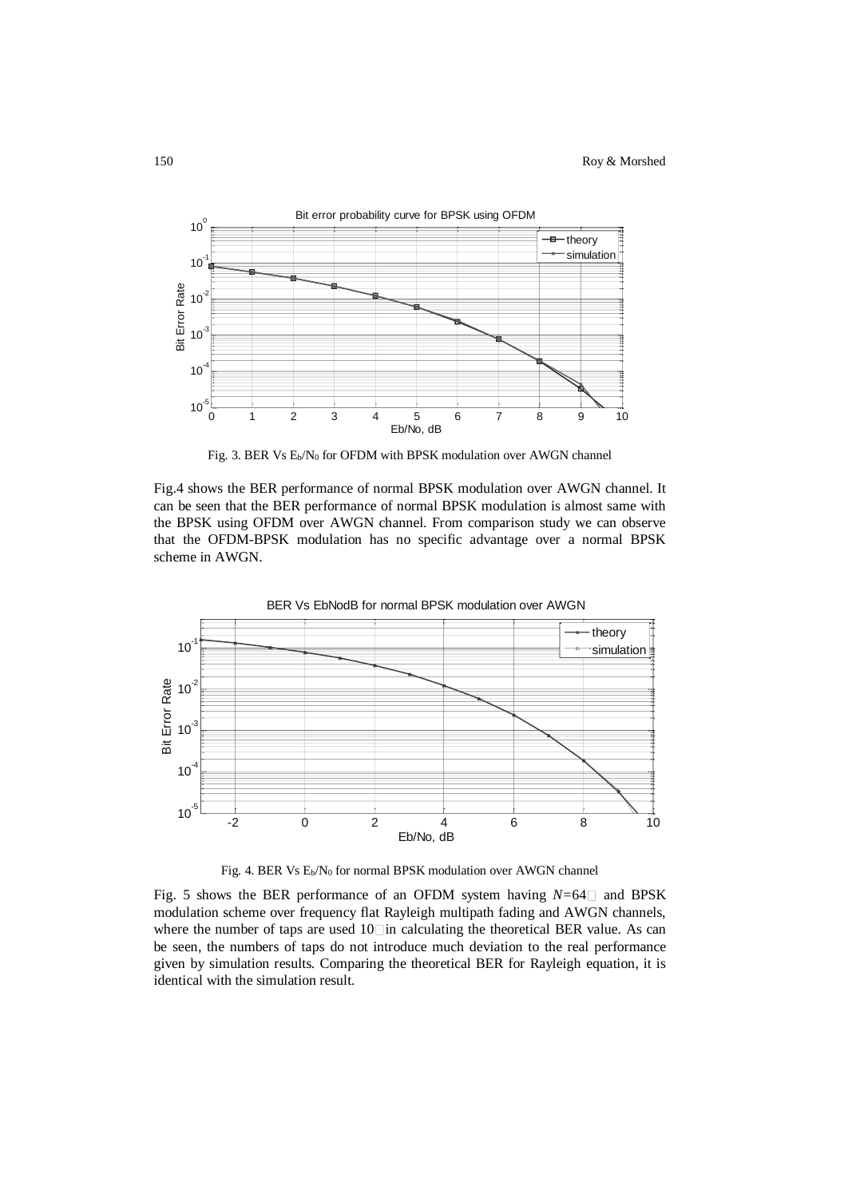

Fig. 3. BER Vs  $E_b/N_0$  for OFDM with BPSK modulation over AWGN channel

Fig.4 shows the BER performance of normal BPSK modulation over AWGN channel. It can be seen that the BER performance of normal BPSK modulation is almost same with the BPSK using OFDM over AWGN channel. From comparison study we can observe that the OFDM-BPSK modulation has no specific advantage over a normal BPSK scheme in AWGN.



Fig. 4. BER Vs E<sub>b</sub>/N<sub>0</sub> for normal BPSK modulation over AWGN channel

Fig. 5 shows the BER performance of an OFDM system having  $N=64$  and BPSK modulation scheme over frequency flat Rayleigh multipath fading and AWGN channels, where the number of taps are used  $10$  in calculating the theoretical BER value. As can be seen, the numbers of taps do not introduce much deviation to the real performance given by simulation results. Comparing the theoretical BER for Rayleigh equation, it is identical with the simulation result.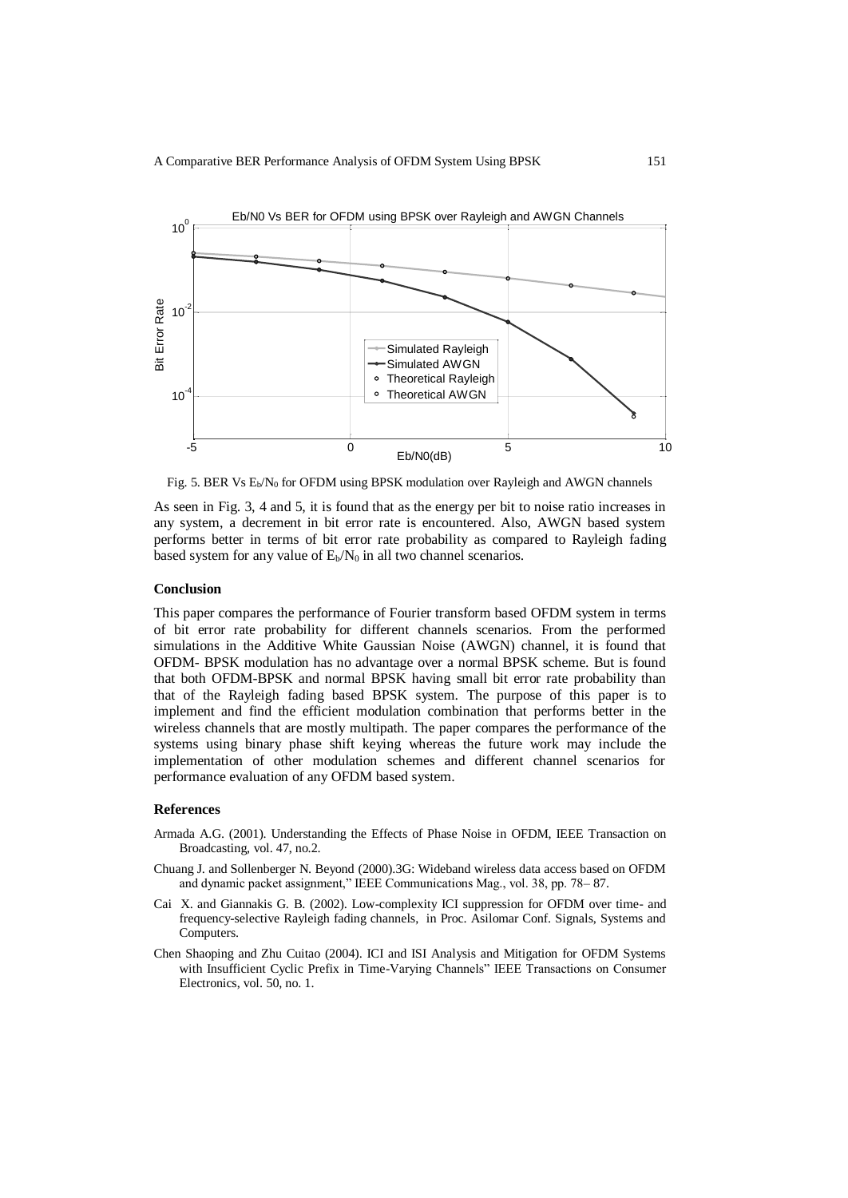

Fig. 5. BER Vs E<sub>b</sub>/N<sub>0</sub> for OFDM using BPSK modulation over Rayleigh and AWGN channels

As seen in Fig. 3, 4 and 5, it is found that as the energy per bit to noise ratio increases in any system, a decrement in bit error rate is encountered. Also, AWGN based system performs better in terms of bit error rate probability as compared to Rayleigh fading based system for any value of  $E_b/N_0$  in all two channel scenarios.

## **Conclusion**

This paper compares the performance of Fourier transform based OFDM system in terms of bit error rate probability for different channels scenarios. From the performed simulations in the Additive White Gaussian Noise (AWGN) channel, it is found that OFDM- BPSK modulation has no advantage over a normal BPSK scheme. But is found that both OFDM-BPSK and normal BPSK having small bit error rate probability than that of the Rayleigh fading based BPSK system. The purpose of this paper is to implement and find the efficient modulation combination that performs better in the wireless channels that are mostly multipath. The paper compares the performance of the systems using binary phase shift keying whereas the future work may include the implementation of other modulation schemes and different channel scenarios for performance evaluation of any OFDM based system.

#### **References**

- Armada A.G. (2001). Understanding the Effects of Phase Noise in OFDM, IEEE Transaction on Broadcasting, vol. 47, no.2.
- Chuang J. and Sollenberger N. Beyond (2000).3G: Wideband wireless data access based on OFDM and dynamic packet assignment," IEEE Communications Mag., vol. 38, pp. 78– 87.
- Cai X. and Giannakis G. B. (2002). Low-complexity ICI suppression for OFDM over time- and frequency-selective Rayleigh fading channels, in Proc. Asilomar Conf. Signals, Systems and Computers.
- Chen Shaoping and Zhu Cuitao (2004). ICI and ISI Analysis and Mitigation for OFDM Systems with Insufficient Cyclic Prefix in Time-Varying Channels" IEEE Transactions on Consumer Electronics, vol. 50, no. 1.